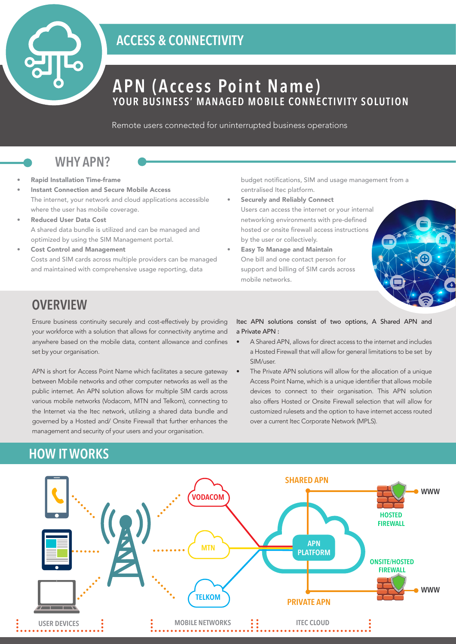

## **ACCESS & CONNECTIVITY**

# **APN (Access Point Name) YOUR BUSINESS' MANAGED MOBILE CONNECTIVITY SOLUTION**

Remote users connected for uninterrupted business operations

### **WHY APN?**

- Rapid Installation Time-frame
- Instant Connection and Secure Mobile Access The internet, your network and cloud applications accessible where the user has mobile coverage.
- Reduced User Data Cost A shared data bundle is utilized and can be managed and optimized by using the SIM Management portal.
- Cost Control and Management Costs and SIM cards across multiple providers can be managed and maintained with comprehensive usage reporting, data

budget notifications, SIM and usage management from a centralised Itec platform.

- Securely and Reliably Connect Users can access the internet or your internal networking environments with pre-defined hosted or onsite firewall access instructions by the user or collectively.
- Easy To Manage and Maintain One bill and one contact person for support and billing of SIM cards across mobile networks.



## **OVERVIEW**

Ensure business continuity securely and cost-effectively by providing your workforce with a solution that allows for connectivity anytime and anywhere based on the mobile data, content allowance and confines set by your organisation.

APN is short for Access Point Name which facilitates a secure gateway between Mobile networks and other computer networks as well as the public internet. An APN solution allows for multiple SIM cards across various mobile networks (Vodacom, MTN and Telkom), connecting to the Internet via the Itec network, utilizing a shared data bundle and governed by a Hosted and/ Onsite Firewall that further enhances the management and security of your users and your organisation.

#### Itec APN solutions consist of two options, A Shared APN and a Private APN :

- A Shared APN, allows for direct access to the internet and includes a Hosted Firewall that will allow for general limitations to be set by SIM/user.
- The Private APN solutions will allow for the allocation of a unique Access Point Name, which is a unique identifier that allows mobile devices to connect to their organisation. This APN solution also offers Hosted or Onsite Firewall selection that will allow for customized rulesets and the option to have internet access routed over a current Itec Corporate Network (MPLS).

## **HOW IT WORKS**